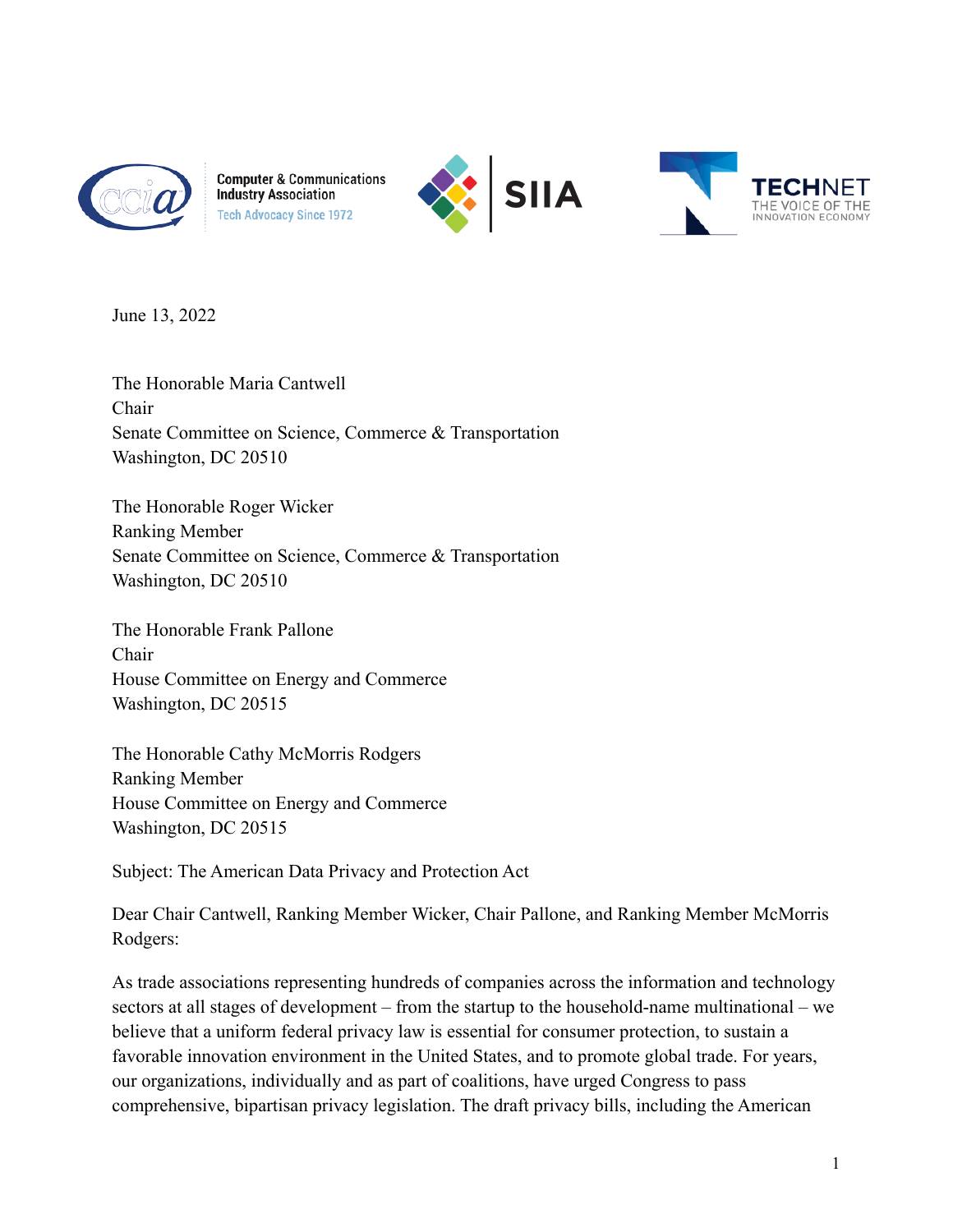

**Computer & Communications Industry Association Tech Advocacy Since 1972** 





June 13, 2022

The Honorable Maria Cantwell Chair Senate Committee on Science, Commerce & Transportation Washington, DC 20510

The Honorable Roger Wicker Ranking Member Senate Committee on Science, Commerce & Transportation Washington, DC 20510

The Honorable Frank Pallone Chair House Committee on Energy and Commerce Washington, DC 20515

The Honorable Cathy McMorris Rodgers Ranking Member House Committee on Energy and Commerce Washington, DC 20515

Subject: The American Data Privacy and Protection Act

Dear Chair Cantwell, Ranking Member Wicker, Chair Pallone, and Ranking Member McMorris Rodgers:

As trade associations representing hundreds of companies across the information and technology sectors at all stages of development – from the startup to the household-name multinational – we believe that a uniform federal privacy law is essential for consumer protection, to sustain a favorable innovation environment in the United States, and to promote global trade. For years, our organizations, individually and as part of coalitions, have urged Congress to pass comprehensive, bipartisan privacy legislation. The draft privacy bills, including the American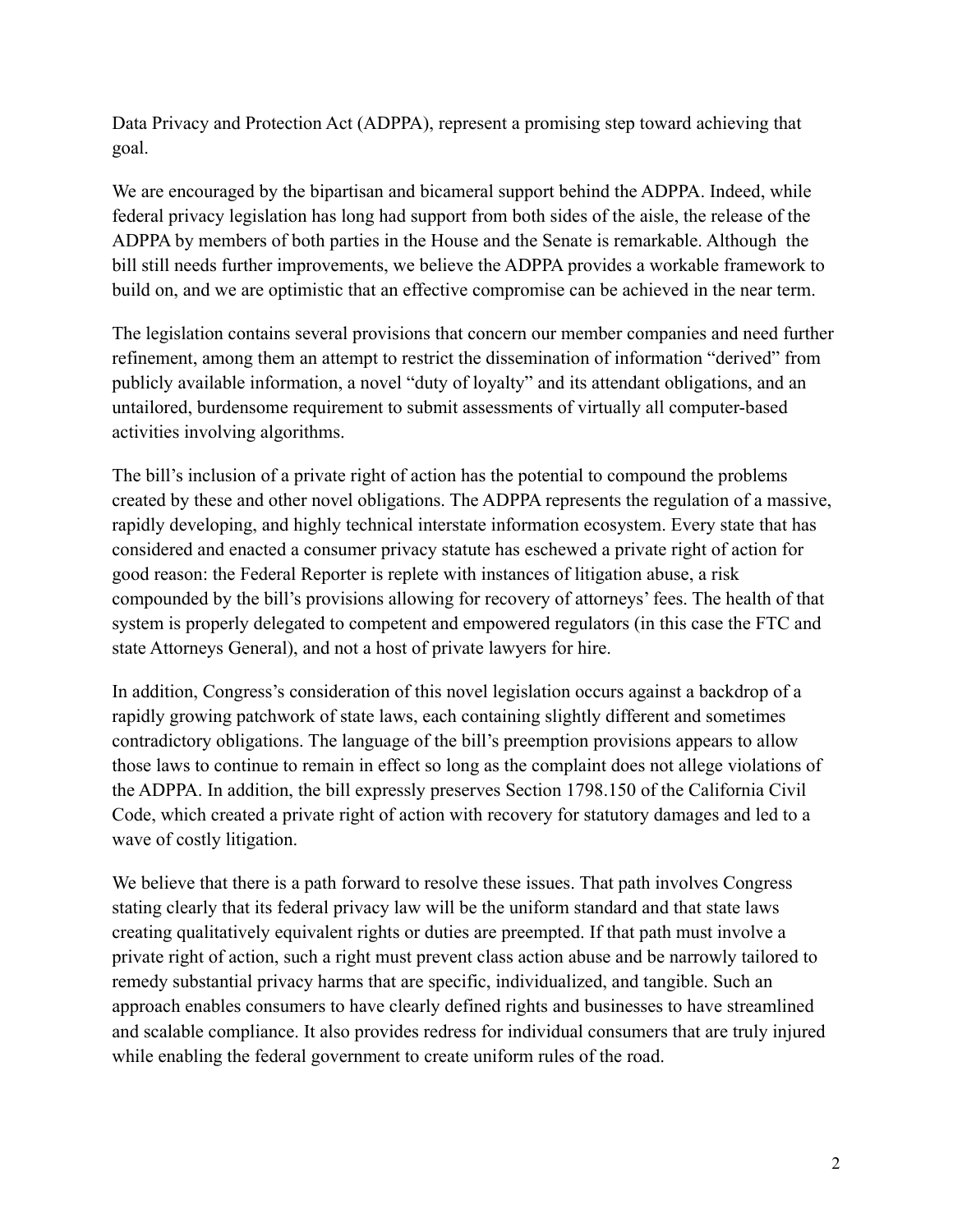Data Privacy and Protection Act (ADPPA), represent a promising step toward achieving that goal.

We are encouraged by the bipartisan and bicameral support behind the ADPPA. Indeed, while federal privacy legislation has long had support from both sides of the aisle, the release of the ADPPA by members of both parties in the House and the Senate is remarkable. Although the bill still needs further improvements, we believe the ADPPA provides a workable framework to build on, and we are optimistic that an effective compromise can be achieved in the near term.

The legislation contains several provisions that concern our member companies and need further refinement, among them an attempt to restrict the dissemination of information "derived" from publicly available information, a novel "duty of loyalty" and its attendant obligations, and an untailored, burdensome requirement to submit assessments of virtually all computer-based activities involving algorithms.

The bill's inclusion of a private right of action has the potential to compound the problems created by these and other novel obligations. The ADPPA represents the regulation of a massive, rapidly developing, and highly technical interstate information ecosystem. Every state that has considered and enacted a consumer privacy statute has eschewed a private right of action for good reason: the Federal Reporter is replete with instances of litigation abuse, a risk compounded by the bill's provisions allowing for recovery of attorneys' fees. The health of that system is properly delegated to competent and empowered regulators (in this case the FTC and state Attorneys General), and not a host of private lawyers for hire.

In addition, Congress's consideration of this novel legislation occurs against a backdrop of a rapidly growing patchwork of state laws, each containing slightly different and sometimes contradictory obligations. The language of the bill's preemption provisions appears to allow those laws to continue to remain in effect so long as the complaint does not allege violations of the ADPPA. In addition, the bill expressly preserves Section 1798.150 of the California Civil Code, which created a private right of action with recovery for statutory damages and led to a wave of costly litigation.

We believe that there is a path forward to resolve these issues. That path involves Congress stating clearly that its federal privacy law will be the uniform standard and that state laws creating qualitatively equivalent rights or duties are preempted. If that path must involve a private right of action, such a right must prevent class action abuse and be narrowly tailored to remedy substantial privacy harms that are specific, individualized, and tangible. Such an approach enables consumers to have clearly defined rights and businesses to have streamlined and scalable compliance. It also provides redress for individual consumers that are truly injured while enabling the federal government to create uniform rules of the road.